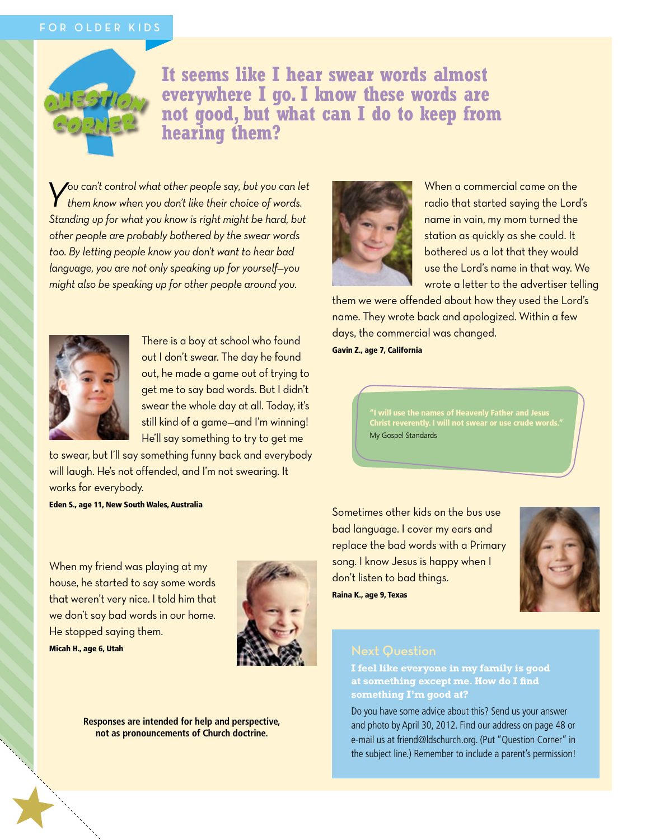## FOR OLDER KIDS



**It seems like I hear swear words almost everywhere I go. I know these words are not good, but what can I do to keep from hearing them?**

*You can't control what other people say, but you can let them know when you don't like their choice of words. Standing up for what you know is right might be hard, but other people are probably bothered by the swear words too. By letting people know you don't want to hear bad language, you are not only speaking up for yourself—you might also be speaking up for other people around you.*



There is a boy at school who found out I don't swear. The day he found out, he made a game out of trying to get me to say bad words. But I didn't swear the whole day at all. Today, it's still kind of a game—and I'm winning! He'll say something to try to get me

to swear, but I'll say something funny back and everybody will laugh. He's not offended, and I'm not swearing. It works for everybody.

Eden S., age 11, New South Wales, Australia

When my friend was playing at my house, he started to say some words that weren't very nice. I told him that we don't say bad words in our home. He stopped saying them. Micah H., age 6, Utah



**Responses are intended for help and perspective, not as pronouncements of Church doctrine.**



When a commercial came on the radio that started saying the Lord's name in vain, my mom turned the station as quickly as she could. It bothered us a lot that they would use the Lord's name in that way. We wrote a letter to the advertiser telling

them we were offended about how they used the Lord's name. They wrote back and apologized. Within a few days, the commercial was changed.

Gavin Z., age 7, California

"I will use the names of Heavenly Father and Jesus Christ reverently. I will not swear or use crude words." My Gospel Standards

Sometimes other kids on the bus use bad language. I cover my ears and replace the bad words with a Primary song. I know Jesus is happy when I don't listen to bad things. Raina K., age 9, Texas



**I feel like everyone in my family is good at something except me. How do I find something I'm good at?**

Do you have some advice about this? Send us your answer and photo by April 30, 2012. Find our address on page 48 or e-mail us at friend@ldschurch.org. (Put "Question Corner" in the subject line.) Remember to include a parent's permission!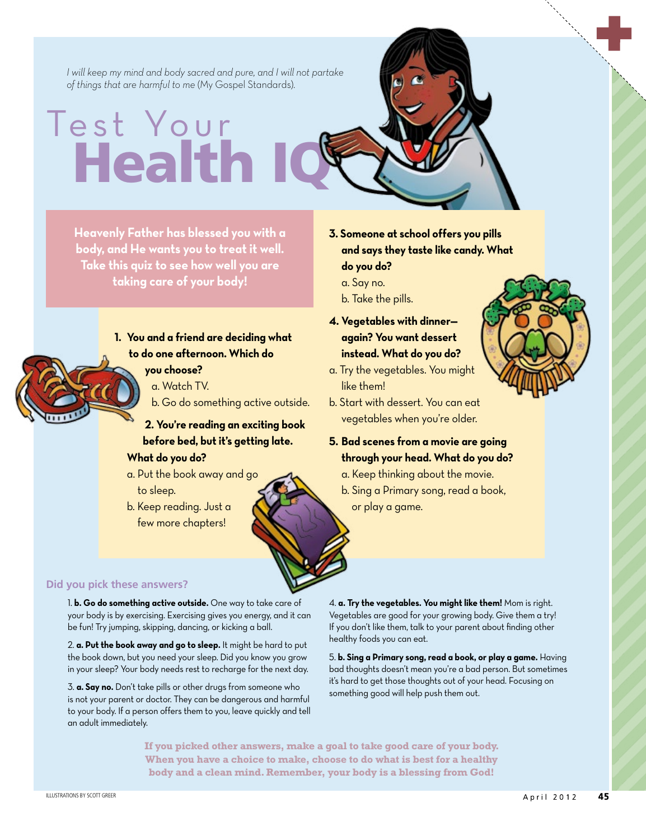*I will keep my mind and body sacred and pure, and I will not partake of things that are harmful to me* (My Gospel Standards).

## Test Your **Health**

**Heavenly Father has blessed you with a body, and He wants you to treat it well. Take this quiz to see how well you are taking care of your body!**



- **1. You and a friend are deciding what to do one afternoon. Which do** 
	- **you choose?**
	- a. Watch TV.
	- b. Go do something active outside.
	- **2. You're reading an exciting book before bed, but it's getting late. What do you do?**
	- a. Put the book away and go to sleep.
	- b. Keep reading. Just a few more chapters!
- **3. Someone at school offers you pills and says they taste like candy. What do you do?**
	- a. Say no.
	- b. Take the pills.
- **4. Vegetables with dinner again? You want dessert instead. What do you do?**
- a. Try the vegetables. You might like them!
- b. Start with dessert. You can eat vegetables when you're older.
- **5. Bad scenes from a movie are going through your head. What do you do?**
	- a. Keep thinking about the movie.
	- b. Sing a Primary song, read a book, or play a game.

## **Did you pick these answers?**

1. **b. Go do something active outside.** One way to take care of your body is by exercising. Exercising gives you energy, and it can be fun! Try jumping, skipping, dancing, or kicking a ball.

2. **a. Put the book away and go to sleep.** It might be hard to put the book down, but you need your sleep. Did you know you grow in your sleep? Your body needs rest to recharge for the next day.

3. **a. Say no.** Don't take pills or other drugs from someone who is not your parent or doctor. They can be dangerous and harmful to your body. If a person offers them to you, leave quickly and tell an adult immediately.

4. **a. Try the vegetables. You might like them!** Mom is right. Vegetables are good for your growing body. Give them a try! If you don't like them, talk to your parent about finding other healthy foods you can eat.

5. **b. Sing a Primary song, read a book, or play a game.** Having bad thoughts doesn't mean you're a bad person. But sometimes it's hard to get those thoughts out of your head. Focusing on something good will help push them out.

**If you picked other answers, make a goal to take good care of your body. When you have a choice to make, choose to do what is best for a healthy body and a clean mind. Remember, your body is a blessing from God!**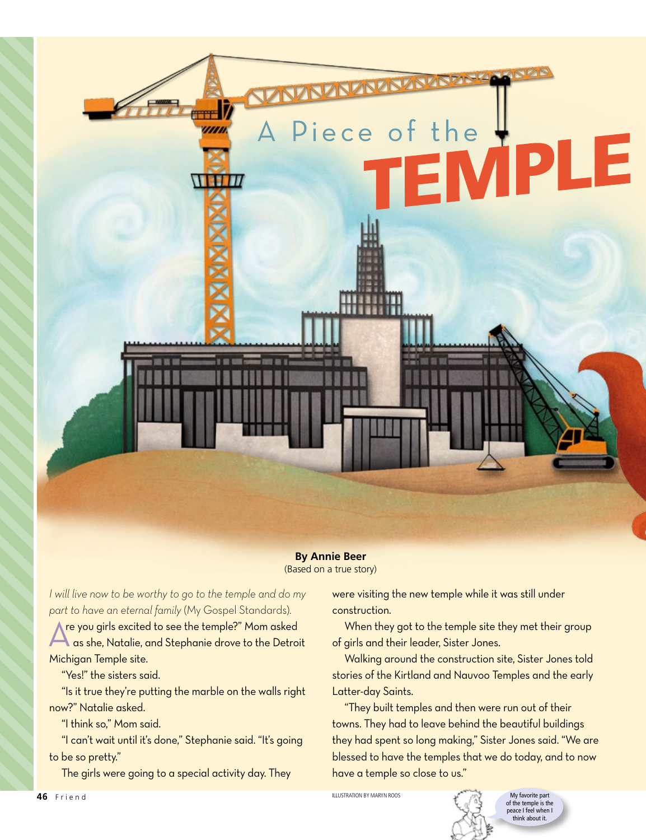

**By Annie Beer** (Based on a true story)

*I will live now to be worthy to go to the temple and do my part to have an eternal family* (My Gospel Standards).

re you girls excited to see the temple?" Mom asked A as she, Natalie, and Stephanie drove to the Detroit Michigan Temple site.

"Yes!" the sisters said.

"Is it true they're putting the marble on the walls right now?" Natalie asked.

"I think so," Mom said.

"I can't wait until it's done," Stephanie said. "It's going to be so pretty."

The girls were going to a special activity day. They

were visiting the new temple while it was still under construction.

When they got to the temple site they met their group of girls and their leader, Sister Jones.

Walking around the construction site, Sister Jones told stories of the Kirtland and Nauvoo Temples and the early Latter-day Saints.

"They built temples and then were run out of their towns. They had to leave behind the beautiful buildings they had spent so long making," Sister Jones said. "We are blessed to have the temples that we do today, and to now have a temple so close to us."

> of the temple is the peace I feel when I think about it

الله السابقة السابقة المسلمة السابقة السابقة السابقة السابقة السابقة السابقة السابقة السابقة السابقة السابقة ال<br>السابقة السابقة السابقة السابقة السابقة السابقة السابقة السابقة السابقة السابقة السابقة السابقة السابقة الساب